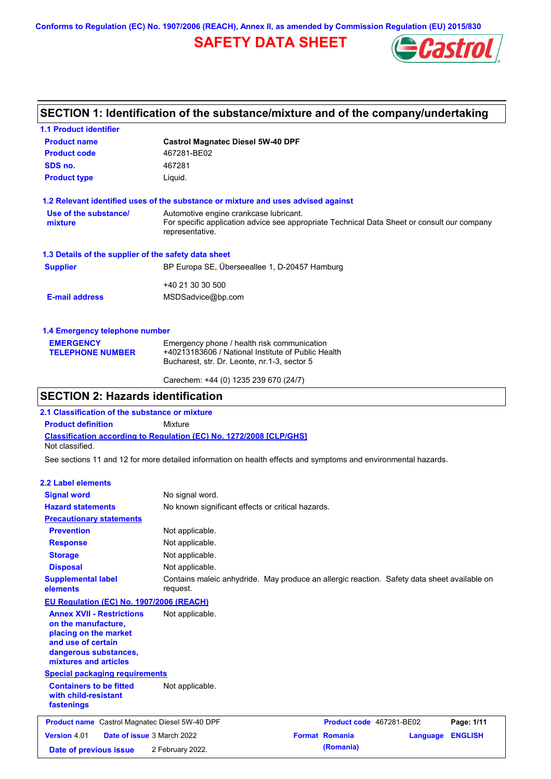**Conforms to Regulation (EC) No. 1907/2006 (REACH), Annex II, as amended by Commission Regulation (EU) 2015/830**

# **SAFETY DATA SHEET**



## **SECTION 1: Identification of the substance/mixture and of the company/undertaking**

| <b>1.1 Product identifier</b>                        |                                                                                                                                                          |
|------------------------------------------------------|----------------------------------------------------------------------------------------------------------------------------------------------------------|
| <b>Product name</b>                                  | <b>Castrol Magnatec Diesel 5W-40 DPF</b>                                                                                                                 |
| <b>Product code</b>                                  | 467281-BE02                                                                                                                                              |
| SDS no.                                              | 467281                                                                                                                                                   |
| <b>Product type</b>                                  | Liquid.                                                                                                                                                  |
|                                                      | 1.2 Relevant identified uses of the substance or mixture and uses advised against                                                                        |
| Use of the substance/<br>mixture                     | Automotive engine crankcase lubricant.<br>For specific application advice see appropriate Technical Data Sheet or consult our company<br>representative. |
| 1.3 Details of the supplier of the safety data sheet |                                                                                                                                                          |
| <b>Supplier</b>                                      | BP Europa SE, Überseeallee 1, D-20457 Hamburg                                                                                                            |
|                                                      | +40 21 30 30 500                                                                                                                                         |
| <b>E-mail address</b>                                | MSDSadvice@bp.com                                                                                                                                        |
| 1.4 Emergency telephone number                       |                                                                                                                                                          |
| <b>EMERGENCY</b><br><b>TELEPHONE NUMBER</b>          | Emergency phone / health risk communication<br>+40213183606 / National Institute of Public Health<br>Bucharest, str. Dr. Leonte, nr.1-3, sector 5        |

## **SECTION 2: Hazards identification**

**2.1 Classification of the substance or mixture**

**Product definition** Mixture

**Classification according to Regulation (EC) No. 1272/2008 [CLP/GHS]** Not classified.

See sections 11 and 12 for more detailed information on health effects and symptoms and environmental hazards.

Carechem: +44 (0) 1235 239 670 (24/7)

### **2.2 Label elements**

| <b>Signal word</b>                                                                                                                                       | No signal word.                                                                                         |                          |          |                |
|----------------------------------------------------------------------------------------------------------------------------------------------------------|---------------------------------------------------------------------------------------------------------|--------------------------|----------|----------------|
| <b>Hazard statements</b>                                                                                                                                 | No known significant effects or critical hazards.                                                       |                          |          |                |
| <b>Precautionary statements</b>                                                                                                                          |                                                                                                         |                          |          |                |
| <b>Prevention</b>                                                                                                                                        | Not applicable.                                                                                         |                          |          |                |
| <b>Response</b>                                                                                                                                          | Not applicable.                                                                                         |                          |          |                |
| <b>Storage</b>                                                                                                                                           | Not applicable.                                                                                         |                          |          |                |
| <b>Disposal</b>                                                                                                                                          | Not applicable.                                                                                         |                          |          |                |
| <b>Supplemental label</b><br>elements                                                                                                                    | Contains maleic anhydride. May produce an allergic reaction. Safety data sheet available on<br>request. |                          |          |                |
| EU Regulation (EC) No. 1907/2006 (REACH)                                                                                                                 |                                                                                                         |                          |          |                |
| <b>Annex XVII - Restrictions</b><br>on the manufacture,<br>placing on the market<br>and use of certain<br>dangerous substances,<br>mixtures and articles | Not applicable.                                                                                         |                          |          |                |
| <b>Special packaging requirements</b>                                                                                                                    |                                                                                                         |                          |          |                |
| <b>Containers to be fitted</b><br>with child-resistant<br>fastenings                                                                                     | Not applicable.                                                                                         |                          |          |                |
| <b>Product name</b> Castrol Magnatec Diesel 5W-40 DPF                                                                                                    |                                                                                                         | Product code 467281-BE02 |          | Page: 1/11     |
| Version 4.01<br>Date of issue 3 March 2022                                                                                                               |                                                                                                         | <b>Format Romania</b>    | Language | <b>ENGLISH</b> |
| Date of previous issue                                                                                                                                   | 2 February 2022.                                                                                        | (Romania)                |          |                |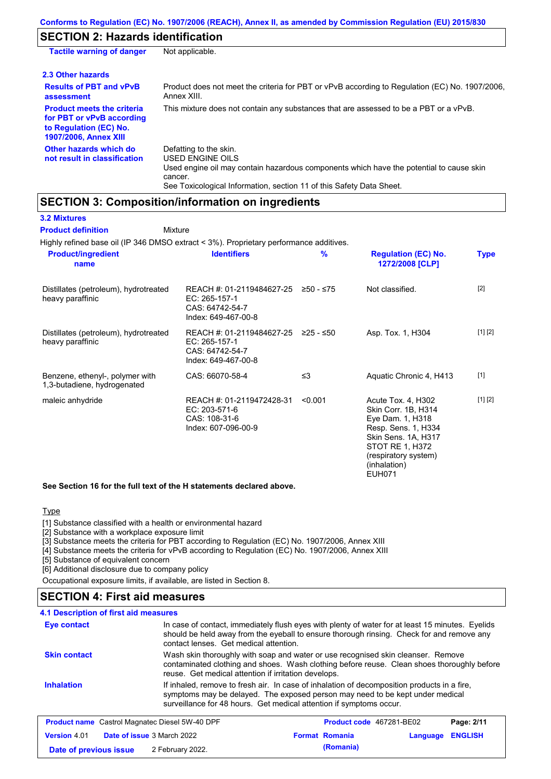# **SECTION 2: Hazards identification**

| <b>Tactile warning of danger</b>                                                                                         | Not applicable.                                                                                                                                                                                                          |
|--------------------------------------------------------------------------------------------------------------------------|--------------------------------------------------------------------------------------------------------------------------------------------------------------------------------------------------------------------------|
| 2.3 Other hazards                                                                                                        |                                                                                                                                                                                                                          |
| <b>Results of PBT and vPvB</b><br>assessment                                                                             | Product does not meet the criteria for PBT or vPvB according to Regulation (EC) No. 1907/2006,<br>Annex XIII.                                                                                                            |
| <b>Product meets the criteria</b><br>for PBT or vPvB according<br>to Regulation (EC) No.<br><b>1907/2006, Annex XIII</b> | This mixture does not contain any substances that are assessed to be a PBT or a vPvB.                                                                                                                                    |
| Other hazards which do<br>not result in classification                                                                   | Defatting to the skin.<br>USED ENGINE OILS<br>Used engine oil may contain hazardous components which have the potential to cause skin<br>cancer.<br>See Toxicological Information, section 11 of this Safety Data Sheet. |

## **SECTION 3: Composition/information on ingredients**

| <b>3.2 Mixtures</b>                                            |                                                                                        |               |                                                                                                                                                                                         |             |
|----------------------------------------------------------------|----------------------------------------------------------------------------------------|---------------|-----------------------------------------------------------------------------------------------------------------------------------------------------------------------------------------|-------------|
| <b>Product definition</b>                                      | Mixture                                                                                |               |                                                                                                                                                                                         |             |
|                                                                | Highly refined base oil (IP 346 DMSO extract < 3%). Proprietary performance additives. |               |                                                                                                                                                                                         |             |
| <b>Product/ingredient</b><br>name                              | <b>Identifiers</b>                                                                     | $\frac{9}{6}$ | <b>Regulation (EC) No.</b><br>1272/2008 [CLP]                                                                                                                                           | <b>Type</b> |
| Distillates (petroleum), hydrotreated<br>heavy paraffinic      | REACH #: 01-2119484627-25<br>EC: 265-157-1<br>CAS: 64742-54-7<br>Index: 649-467-00-8   | ≥50 - ≤75     | Not classified.                                                                                                                                                                         | $[2]$       |
| Distillates (petroleum), hydrotreated<br>heavy paraffinic      | REACH #: 01-2119484627-25<br>EC: 265-157-1<br>CAS: 64742-54-7<br>Index: 649-467-00-8   | ≥25 - ≤50     | Asp. Tox. 1, H304                                                                                                                                                                       | [1] [2]     |
| Benzene, ethenyl-, polymer with<br>1,3-butadiene, hydrogenated | CAS: 66070-58-4                                                                        | $\leq$ 3      | Aquatic Chronic 4, H413                                                                                                                                                                 | $[1]$       |
| maleic anhydride                                               | REACH #: 01-2119472428-31<br>EC: 203-571-6<br>CAS: 108-31-6<br>Index: 607-096-00-9     | < 0.001       | Acute Tox. 4, H302<br>Skin Corr. 1B, H314<br>Eye Dam. 1, H318<br>Resp. Sens. 1, H334<br>Skin Sens. 1A, H317<br>STOT RE 1, H372<br>(respiratory system)<br>(inhalation)<br><b>EUH071</b> | [1] [2]     |

**See Section 16 for the full text of the H statements declared above.**

### **Type**

[1] Substance classified with a health or environmental hazard

[2] Substance with a workplace exposure limit

[3] Substance meets the criteria for PBT according to Regulation (EC) No. 1907/2006, Annex XIII

[4] Substance meets the criteria for vPvB according to Regulation (EC) No. 1907/2006, Annex XIII

[5] Substance of equivalent concern

[6] Additional disclosure due to company policy

Occupational exposure limits, if available, are listed in Section 8.

### **SECTION 4: First aid measures**

**4.1 Description of first aid measures**

| Eye contact         | contact lenses. Get medical attention.                              | In case of contact, immediately flush eyes with plenty of water for at least 15 minutes. Eyelids<br>should be held away from the eyeball to ensure thorough rinsing. Check for and remove any |            |
|---------------------|---------------------------------------------------------------------|-----------------------------------------------------------------------------------------------------------------------------------------------------------------------------------------------|------------|
| <b>Skin contact</b> | reuse. Get medical attention if irritation develops.                | Wash skin thoroughly with soap and water or use recognised skin cleanser. Remove<br>contaminated clothing and shoes. Wash clothing before reuse. Clean shoes thoroughly before                |            |
| <b>Inhalation</b>   | surveillance for 48 hours. Get medical attention if symptoms occur. | If inhaled, remove to fresh air. In case of inhalation of decomposition products in a fire,<br>symptoms may be delayed. The exposed person may need to be kept under medical                  |            |
|                     | <b>Product name</b> Castrol Magnatec Diesel 5W-40 DPF               | <b>Product code</b> 467281-BE02                                                                                                                                                               | Page: 2/11 |

| .                      |                                   |                       |                  |  |
|------------------------|-----------------------------------|-----------------------|------------------|--|
| <b>Version 4.01</b>    | <b>Date of issue</b> 3 March 2022 | <b>Format Romania</b> | Language ENGLISH |  |
| Date of previous issue | 2 February 2022.                  | (Romania)             |                  |  |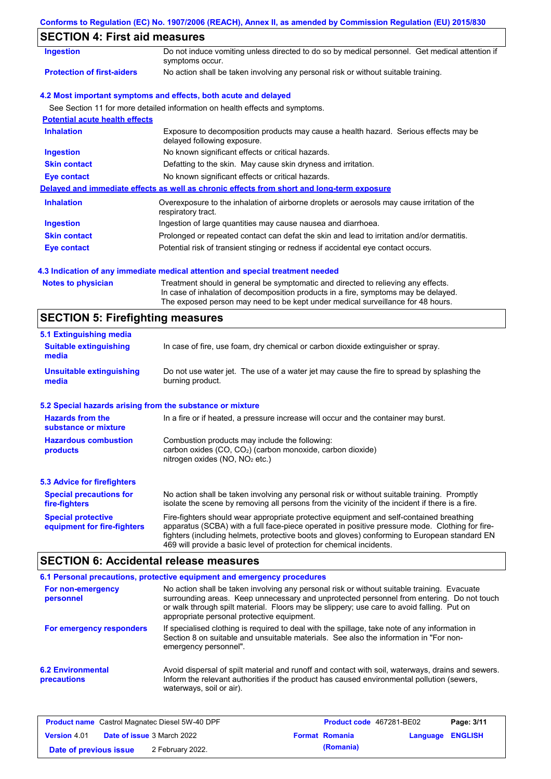| Conforms to Regulation (EC) No. 1907/2006 (REACH), Annex II, as amended by Commission Regulation (EU) 2015/830 |  |  |  |  |
|----------------------------------------------------------------------------------------------------------------|--|--|--|--|
|                                                                                                                |  |  |  |  |

# **SECTION 4: First aid measures**

| SEUTIUN 4. FIISL 410 THEASULES        |                                                                                                                     |
|---------------------------------------|---------------------------------------------------------------------------------------------------------------------|
| <b>Ingestion</b>                      | Do not induce vomiting unless directed to do so by medical personnel. Get medical attention if<br>symptoms occur.   |
| <b>Protection of first-aiders</b>     | No action shall be taken involving any personal risk or without suitable training.                                  |
|                                       | 4.2 Most important symptoms and effects, both acute and delayed                                                     |
|                                       | See Section 11 for more detailed information on health effects and symptoms.                                        |
| <b>Potential acute health effects</b> |                                                                                                                     |
| <b>Inhalation</b>                     | Exposure to decomposition products may cause a health hazard. Serious effects may be<br>delayed following exposure. |
| <b>Ingestion</b>                      | No known significant effects or critical hazards.                                                                   |
| <b>Skin contact</b>                   | Defatting to the skin. May cause skin dryness and irritation.                                                       |
| Eye contact                           | No known significant effects or critical hazards.                                                                   |
|                                       | Delayed and immediate effects as well as chronic effects from short and long-term exposure                          |
| <b>Inhalation</b>                     | Overexposure to the inhalation of airborne droplets or aerosols may cause irritation of the<br>respiratory tract.   |
| <b>Ingestion</b>                      | Ingestion of large quantities may cause nausea and diarrhoea.                                                       |
| <b>Skin contact</b>                   | Prolonged or repeated contact can defat the skin and lead to irritation and/or dermatitis.                          |
| Eye contact                           | Potential risk of transient stinging or redness if accidental eye contact occurs.                                   |
|                                       |                                                                                                                     |

### **4.3 Indication of any immediate medical attention and special treatment needed**

| <b>Notes to physician</b> | Treatment should in general be symptomatic and directed to relieving any effects.   |
|---------------------------|-------------------------------------------------------------------------------------|
|                           | In case of inhalation of decomposition products in a fire, symptoms may be delayed. |
|                           | The exposed person may need to be kept under medical surveillance for 48 hours.     |

# **SECTION 5: Firefighting measures**

| 5.1 Extinguishing media                                   |                                                                                                                                                                                                                                                                                                                                                                   |
|-----------------------------------------------------------|-------------------------------------------------------------------------------------------------------------------------------------------------------------------------------------------------------------------------------------------------------------------------------------------------------------------------------------------------------------------|
| <b>Suitable extinguishing</b><br>media                    | In case of fire, use foam, dry chemical or carbon dioxide extinguisher or spray.                                                                                                                                                                                                                                                                                  |
| <b>Unsuitable extinguishing</b><br>media                  | Do not use water jet. The use of a water jet may cause the fire to spread by splashing the<br>burning product.                                                                                                                                                                                                                                                    |
| 5.2 Special hazards arising from the substance or mixture |                                                                                                                                                                                                                                                                                                                                                                   |
| <b>Hazards from the</b><br>substance or mixture           | In a fire or if heated, a pressure increase will occur and the container may burst.                                                                                                                                                                                                                                                                               |
| <b>Hazardous combustion</b><br>products                   | Combustion products may include the following:<br>carbon oxides $(CO, CO2)$ (carbon monoxide, carbon dioxide)<br>nitrogen oxides ( $NO$ , $NO2$ etc.)                                                                                                                                                                                                             |
| <b>5.3 Advice for firefighters</b>                        |                                                                                                                                                                                                                                                                                                                                                                   |
| <b>Special precautions for</b><br>fire-fighters           | No action shall be taken involving any personal risk or without suitable training. Promptly<br>isolate the scene by removing all persons from the vicinity of the incident if there is a fire.                                                                                                                                                                    |
| <b>Special protective</b><br>equipment for fire-fighters  | Fire-fighters should wear appropriate protective equipment and self-contained breathing<br>apparatus (SCBA) with a full face-piece operated in positive pressure mode. Clothing for fire-<br>fighters (including helmets, protective boots and gloves) conforming to European standard EN<br>469 will provide a basic level of protection for chemical incidents. |

# **SECTION 6: Accidental release measures**

|                                         | 6.1 Personal precautions, protective equipment and emergency procedures                                                                                                                                                                                                                                                             |
|-----------------------------------------|-------------------------------------------------------------------------------------------------------------------------------------------------------------------------------------------------------------------------------------------------------------------------------------------------------------------------------------|
| For non-emergency<br>personnel          | No action shall be taken involving any personal risk or without suitable training. Evacuate<br>surrounding areas. Keep unnecessary and unprotected personnel from entering. Do not touch<br>or walk through spilt material. Floors may be slippery; use care to avoid falling. Put on<br>appropriate personal protective equipment. |
| For emergency responders                | If specialised clothing is required to deal with the spillage, take note of any information in<br>Section 8 on suitable and unsuitable materials. See also the information in "For non-<br>emergency personnel".                                                                                                                    |
| <b>6.2 Environmental</b><br>precautions | Avoid dispersal of spilt material and runoff and contact with soil, waterways, drains and sewers.<br>Inform the relevant authorities if the product has caused environmental pollution (sewers,<br>waterways, soil or air).                                                                                                         |

| <b>Product name</b> Castrol Magnatec Diesel 5W-40 DPF    |  |                  | Product code 467281-BE02 | Page: 3/11              |  |  |
|----------------------------------------------------------|--|------------------|--------------------------|-------------------------|--|--|
| <b>Date of issue</b> 3 March 2022<br><b>Version 4.01</b> |  |                  | <b>Format Romania</b>    | <b>Language ENGLISH</b> |  |  |
| Date of previous issue                                   |  | 2 February 2022. |                          | (Romania)               |  |  |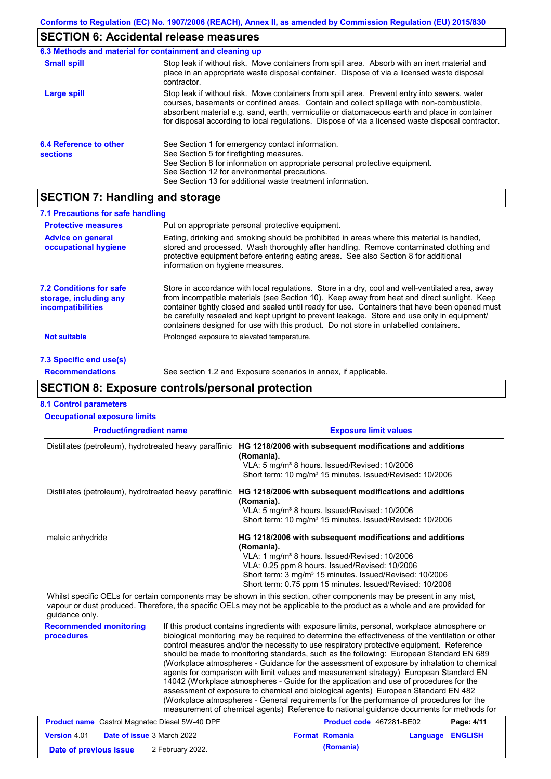### **SECTION 6: Accidental release measures**

|                                           | 6.3 Methods and material for containment and cleaning up                                                                                                                                                                                                                                                                                                                                       |
|-------------------------------------------|------------------------------------------------------------------------------------------------------------------------------------------------------------------------------------------------------------------------------------------------------------------------------------------------------------------------------------------------------------------------------------------------|
| <b>Small spill</b>                        | Stop leak if without risk. Move containers from spill area. Absorb with an inert material and<br>place in an appropriate waste disposal container. Dispose of via a licensed waste disposal<br>contractor.                                                                                                                                                                                     |
| Large spill                               | Stop leak if without risk. Move containers from spill area. Prevent entry into sewers, water<br>courses, basements or confined areas. Contain and collect spillage with non-combustible,<br>absorbent material e.g. sand, earth, vermiculite or diatomaceous earth and place in container<br>for disposal according to local regulations. Dispose of via a licensed waste disposal contractor. |
| 6.4 Reference to other<br><b>sections</b> | See Section 1 for emergency contact information.<br>See Section 5 for firefighting measures.<br>See Section 8 for information on appropriate personal protective equipment.<br>See Section 12 for environmental precautions.<br>See Section 13 for additional waste treatment information.                                                                                                     |

## **SECTION 7: Handling and storage**

| 7.1 Precautions for safe handling                                                    |                                                                                                                                                                                                                                                                                                                                                                                                                                                                                          |
|--------------------------------------------------------------------------------------|------------------------------------------------------------------------------------------------------------------------------------------------------------------------------------------------------------------------------------------------------------------------------------------------------------------------------------------------------------------------------------------------------------------------------------------------------------------------------------------|
| <b>Protective measures</b>                                                           | Put on appropriate personal protective equipment.                                                                                                                                                                                                                                                                                                                                                                                                                                        |
| <b>Advice on general</b><br>occupational hygiene                                     | Eating, drinking and smoking should be prohibited in areas where this material is handled,<br>stored and processed. Wash thoroughly after handling. Remove contaminated clothing and<br>protective equipment before entering eating areas. See also Section 8 for additional<br>information on hygiene measures.                                                                                                                                                                         |
| <b>7.2 Conditions for safe</b><br>storage, including any<br><i>incompatibilities</i> | Store in accordance with local regulations. Store in a dry, cool and well-ventilated area, away<br>from incompatible materials (see Section 10). Keep away from heat and direct sunlight. Keep<br>container tightly closed and sealed until ready for use. Containers that have been opened must<br>be carefully resealed and kept upright to prevent leakage. Store and use only in equipment/<br>containers designed for use with this product. Do not store in unlabelled containers. |
| <b>Not suitable</b>                                                                  | Prolonged exposure to elevated temperature.                                                                                                                                                                                                                                                                                                                                                                                                                                              |
| 7.3 Specific end use(s)                                                              |                                                                                                                                                                                                                                                                                                                                                                                                                                                                                          |
| <b>Recommendations</b>                                                               | See section 1.2 and Exposure scenarios in annex, if applicable.                                                                                                                                                                                                                                                                                                                                                                                                                          |

## **SECTION 8: Exposure controls/personal protection**

| <b>8.1 Control parameters</b>                          |                                                                                                                                                                                                                                                                                                                          |
|--------------------------------------------------------|--------------------------------------------------------------------------------------------------------------------------------------------------------------------------------------------------------------------------------------------------------------------------------------------------------------------------|
| <b>Occupational exposure limits</b>                    |                                                                                                                                                                                                                                                                                                                          |
| <b>Product/ingredient name</b>                         | <b>Exposure limit values</b>                                                                                                                                                                                                                                                                                             |
| Distillates (petroleum), hydrotreated heavy paraffinic | HG 1218/2006 with subsequent modifications and additions<br>(Romania).<br>VLA: 5 mg/m <sup>3</sup> 8 hours. Issued/Revised: 10/2006<br>Short term: 10 mg/m <sup>3</sup> 15 minutes. Issued/Revised: 10/2006                                                                                                              |
| Distillates (petroleum), hydrotreated heavy paraffinic | HG 1218/2006 with subsequent modifications and additions<br>(Romania).<br>VLA: 5 mg/m <sup>3</sup> 8 hours. Issued/Revised: 10/2006<br>Short term: 10 mg/m <sup>3</sup> 15 minutes. Issued/Revised: 10/2006                                                                                                              |
| maleic anhydride                                       | HG 1218/2006 with subsequent modifications and additions<br>(Romania).<br>VLA: 1 mg/m <sup>3</sup> 8 hours. Issued/Revised: 10/2006<br>VLA: 0.25 ppm 8 hours. Issued/Revised: 10/2006<br>Short term: 3 mg/m <sup>3</sup> 15 minutes. Issued/Revised: 10/2006<br>Short term: 0.75 ppm 15 minutes. Issued/Revised: 10/2006 |

Whilst specific OELs for certain components may be shown in this section, other components may be present in any mist, vapour or dust produced. Therefore, the specific OELs may not be applicable to the product as a whole and are provided for guidance only.

**Recommended monitoring procedures** If this product contains ingredients with exposure limits, personal, workplace atmosphere or biological monitoring may be required to determine the effectiveness of the ventilation or other control measures and/or the necessity to use respiratory protective equipment. Reference should be made to monitoring standards, such as the following: European Standard EN 689 (Workplace atmospheres - Guidance for the assessment of exposure by inhalation to chemical agents for comparison with limit values and measurement strategy) European Standard EN 14042 (Workplace atmospheres - Guide for the application and use of procedures for the assessment of exposure to chemical and biological agents) European Standard EN 482 (Workplace atmospheres - General requirements for the performance of procedures for the measurement of chemical agents) Reference to national guidance documents for methods for

| <b>Product name</b> Castrol Magnatec Diesel 5W-40 DPF |  | <b>Product code</b> 467281-BE02   |  | Page: 4/11            |                  |  |
|-------------------------------------------------------|--|-----------------------------------|--|-----------------------|------------------|--|
| <b>Version 4.01</b>                                   |  | <b>Date of issue 3 March 2022</b> |  | <b>Format Romania</b> | Language ENGLISH |  |
| Date of previous issue                                |  | 2 February 2022.                  |  | (Romania)             |                  |  |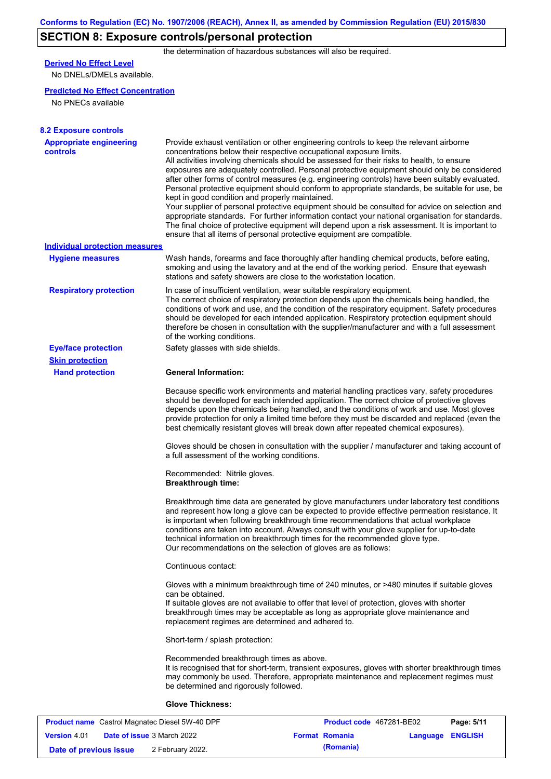# **SECTION 8: Exposure controls/personal protection**

the determination of hazardous substances will also be required.

# **Derived No Effect Level**

No DNELs/DMELs available.

### **Predicted No Effect Concentration**

No PNECs available

| <b>8.2 Exposure controls</b>               |                                                                                                                                                                                                                                                                                                                                                                                                                                                                                                                                                                                                                                                                                                                                                                                                                                                                                                                                                                                                         |
|--------------------------------------------|---------------------------------------------------------------------------------------------------------------------------------------------------------------------------------------------------------------------------------------------------------------------------------------------------------------------------------------------------------------------------------------------------------------------------------------------------------------------------------------------------------------------------------------------------------------------------------------------------------------------------------------------------------------------------------------------------------------------------------------------------------------------------------------------------------------------------------------------------------------------------------------------------------------------------------------------------------------------------------------------------------|
| <b>Appropriate engineering</b><br>controls | Provide exhaust ventilation or other engineering controls to keep the relevant airborne<br>concentrations below their respective occupational exposure limits.<br>All activities involving chemicals should be assessed for their risks to health, to ensure<br>exposures are adequately controlled. Personal protective equipment should only be considered<br>after other forms of control measures (e.g. engineering controls) have been suitably evaluated.<br>Personal protective equipment should conform to appropriate standards, be suitable for use, be<br>kept in good condition and properly maintained.<br>Your supplier of personal protective equipment should be consulted for advice on selection and<br>appropriate standards. For further information contact your national organisation for standards.<br>The final choice of protective equipment will depend upon a risk assessment. It is important to<br>ensure that all items of personal protective equipment are compatible. |
| <b>Individual protection measures</b>      |                                                                                                                                                                                                                                                                                                                                                                                                                                                                                                                                                                                                                                                                                                                                                                                                                                                                                                                                                                                                         |
| <b>Hygiene measures</b>                    | Wash hands, forearms and face thoroughly after handling chemical products, before eating,<br>smoking and using the lavatory and at the end of the working period. Ensure that eyewash<br>stations and safety showers are close to the workstation location.                                                                                                                                                                                                                                                                                                                                                                                                                                                                                                                                                                                                                                                                                                                                             |
| <b>Respiratory protection</b>              | In case of insufficient ventilation, wear suitable respiratory equipment.<br>The correct choice of respiratory protection depends upon the chemicals being handled, the<br>conditions of work and use, and the condition of the respiratory equipment. Safety procedures<br>should be developed for each intended application. Respiratory protection equipment should<br>therefore be chosen in consultation with the supplier/manufacturer and with a full assessment<br>of the working conditions.                                                                                                                                                                                                                                                                                                                                                                                                                                                                                                   |
| <b>Eye/face protection</b>                 | Safety glasses with side shields.                                                                                                                                                                                                                                                                                                                                                                                                                                                                                                                                                                                                                                                                                                                                                                                                                                                                                                                                                                       |
| <b>Skin protection</b>                     |                                                                                                                                                                                                                                                                                                                                                                                                                                                                                                                                                                                                                                                                                                                                                                                                                                                                                                                                                                                                         |
| <b>Hand protection</b>                     | <b>General Information:</b>                                                                                                                                                                                                                                                                                                                                                                                                                                                                                                                                                                                                                                                                                                                                                                                                                                                                                                                                                                             |
|                                            | Because specific work environments and material handling practices vary, safety procedures<br>should be developed for each intended application. The correct choice of protective gloves<br>depends upon the chemicals being handled, and the conditions of work and use. Most gloves<br>provide protection for only a limited time before they must be discarded and replaced (even the<br>best chemically resistant gloves will break down after repeated chemical exposures).                                                                                                                                                                                                                                                                                                                                                                                                                                                                                                                        |
|                                            | Gloves should be chosen in consultation with the supplier / manufacturer and taking account of<br>a full assessment of the working conditions.                                                                                                                                                                                                                                                                                                                                                                                                                                                                                                                                                                                                                                                                                                                                                                                                                                                          |
|                                            | Recommended: Nitrile gloves.<br><b>Breakthrough time:</b>                                                                                                                                                                                                                                                                                                                                                                                                                                                                                                                                                                                                                                                                                                                                                                                                                                                                                                                                               |
|                                            | Breakthrough time data are generated by glove manufacturers under laboratory test conditions<br>and represent how long a glove can be expected to provide effective permeation resistance. It<br>is important when following breakthrough time recommendations that actual workplace<br>conditions are taken into account. Always consult with your glove supplier for up-to-date<br>technical information on breakthrough times for the recommended glove type.<br>Our recommendations on the selection of gloves are as follows:                                                                                                                                                                                                                                                                                                                                                                                                                                                                      |
|                                            | Continuous contact:                                                                                                                                                                                                                                                                                                                                                                                                                                                                                                                                                                                                                                                                                                                                                                                                                                                                                                                                                                                     |
|                                            | Gloves with a minimum breakthrough time of 240 minutes, or >480 minutes if suitable gloves<br>can be obtained.<br>If suitable gloves are not available to offer that level of protection, gloves with shorter<br>breakthrough times may be acceptable as long as appropriate glove maintenance and<br>replacement regimes are determined and adhered to.                                                                                                                                                                                                                                                                                                                                                                                                                                                                                                                                                                                                                                                |
|                                            | Short-term / splash protection:                                                                                                                                                                                                                                                                                                                                                                                                                                                                                                                                                                                                                                                                                                                                                                                                                                                                                                                                                                         |
|                                            | Recommended breakthrough times as above.<br>It is recognised that for short-term, transient exposures, gloves with shorter breakthrough times<br>may commonly be used. Therefore, appropriate maintenance and replacement regimes must<br>be determined and rigorously followed.                                                                                                                                                                                                                                                                                                                                                                                                                                                                                                                                                                                                                                                                                                                        |
|                                            | <b>Glove Thickness:</b>                                                                                                                                                                                                                                                                                                                                                                                                                                                                                                                                                                                                                                                                                                                                                                                                                                                                                                                                                                                 |
|                                            |                                                                                                                                                                                                                                                                                                                                                                                                                                                                                                                                                                                                                                                                                                                                                                                                                                                                                                                                                                                                         |

|                        | <b>Product name</b> Castrol Magnatec Diesel 5W-40 DPF | <b>Product code</b> 467281-BE02 |                  | Page: 5/11 |
|------------------------|-------------------------------------------------------|---------------------------------|------------------|------------|
| <b>Version</b> 4.01    | <b>Date of issue 3 March 2022</b>                     | <b>Format Romania</b>           | Language ENGLISH |            |
| Date of previous issue | 2 February 2022.                                      | (Romania)                       |                  |            |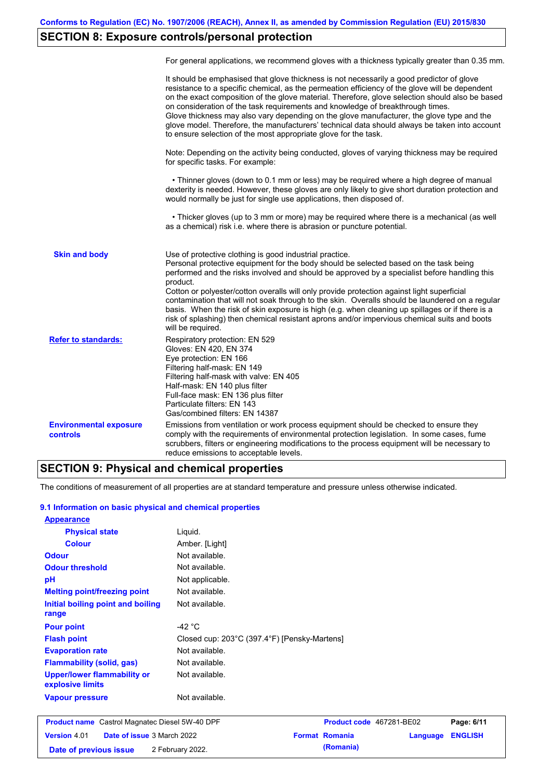# **SECTION 8: Exposure controls/personal protection**

|                                                  | For general applications, we recommend gloves with a thickness typically greater than 0.35 mm.                                                                                                                                                                                                                                                                                                                                                                                                                                                                                                                                                                                        |
|--------------------------------------------------|---------------------------------------------------------------------------------------------------------------------------------------------------------------------------------------------------------------------------------------------------------------------------------------------------------------------------------------------------------------------------------------------------------------------------------------------------------------------------------------------------------------------------------------------------------------------------------------------------------------------------------------------------------------------------------------|
|                                                  | It should be emphasised that glove thickness is not necessarily a good predictor of glove<br>resistance to a specific chemical, as the permeation efficiency of the glove will be dependent<br>on the exact composition of the glove material. Therefore, glove selection should also be based<br>on consideration of the task requirements and knowledge of breakthrough times.<br>Glove thickness may also vary depending on the glove manufacturer, the glove type and the<br>glove model. Therefore, the manufacturers' technical data should always be taken into account<br>to ensure selection of the most appropriate glove for the task.                                     |
|                                                  | Note: Depending on the activity being conducted, gloves of varying thickness may be required<br>for specific tasks. For example:                                                                                                                                                                                                                                                                                                                                                                                                                                                                                                                                                      |
|                                                  | • Thinner gloves (down to 0.1 mm or less) may be required where a high degree of manual<br>dexterity is needed. However, these gloves are only likely to give short duration protection and<br>would normally be just for single use applications, then disposed of.                                                                                                                                                                                                                                                                                                                                                                                                                  |
|                                                  | • Thicker gloves (up to 3 mm or more) may be required where there is a mechanical (as well<br>as a chemical) risk i.e. where there is abrasion or puncture potential.                                                                                                                                                                                                                                                                                                                                                                                                                                                                                                                 |
| <b>Skin and body</b>                             | Use of protective clothing is good industrial practice.<br>Personal protective equipment for the body should be selected based on the task being<br>performed and the risks involved and should be approved by a specialist before handling this<br>product.<br>Cotton or polyester/cotton overalls will only provide protection against light superficial<br>contamination that will not soak through to the skin. Overalls should be laundered on a regular<br>basis. When the risk of skin exposure is high (e.g. when cleaning up spillages or if there is a<br>risk of splashing) then chemical resistant aprons and/or impervious chemical suits and boots<br>will be required. |
| <b>Refer to standards:</b>                       | Respiratory protection: EN 529<br>Gloves: EN 420, EN 374<br>Eye protection: EN 166<br>Filtering half-mask: EN 149<br>Filtering half-mask with valve: EN 405<br>Half-mask: EN 140 plus filter<br>Full-face mask: EN 136 plus filter<br>Particulate filters: EN 143<br>Gas/combined filters: EN 14387                                                                                                                                                                                                                                                                                                                                                                                   |
| <b>Environmental exposure</b><br><b>controls</b> | Emissions from ventilation or work process equipment should be checked to ensure they<br>comply with the requirements of environmental protection legislation. In some cases, fume<br>scrubbers, filters or engineering modifications to the process equipment will be necessary to<br>reduce emissions to acceptable levels.                                                                                                                                                                                                                                                                                                                                                         |

## **SECTION 9: Physical and chemical properties**

The conditions of measurement of all properties are at standard temperature and pressure unless otherwise indicated.

### **9.1 Information on basic physical and chemical properties**

| <b>Appearance</b>                                      |                                              |
|--------------------------------------------------------|----------------------------------------------|
| <b>Physical state</b>                                  | Liguid.                                      |
| <b>Colour</b>                                          | Amber. [Light]                               |
| <b>Odour</b>                                           | Not available.                               |
| <b>Odour threshold</b>                                 | Not available.                               |
| pH                                                     | Not applicable.                              |
| <b>Melting point/freezing point</b>                    | Not available.                               |
| Initial boiling point and boiling<br>range             | Not available.                               |
| <b>Pour point</b>                                      | -42 $\degree$ C                              |
| <b>Flash point</b>                                     | Closed cup: 203°C (397.4°F) [Pensky-Martens] |
| <b>Evaporation rate</b>                                | Not available.                               |
| <b>Flammability (solid, gas)</b>                       | Not available.                               |
| <b>Upper/lower flammability or</b><br>explosive limits | Not available.                               |
| <b>Vapour pressure</b>                                 | Not available.                               |
|                                                        |                                              |

| <b>Product name</b> Castrol Magnatec Diesel 5W-40 DPF |                                   |                  | <b>Product code</b> 467281-BE02 |                       | Page: 6/11              |  |
|-------------------------------------------------------|-----------------------------------|------------------|---------------------------------|-----------------------|-------------------------|--|
| <b>Version 4.01</b>                                   | <b>Date of issue 3 March 2022</b> |                  |                                 | <b>Format Romania</b> | <b>Language ENGLISH</b> |  |
| Date of previous issue                                |                                   | 2 February 2022. |                                 | (Romania)             |                         |  |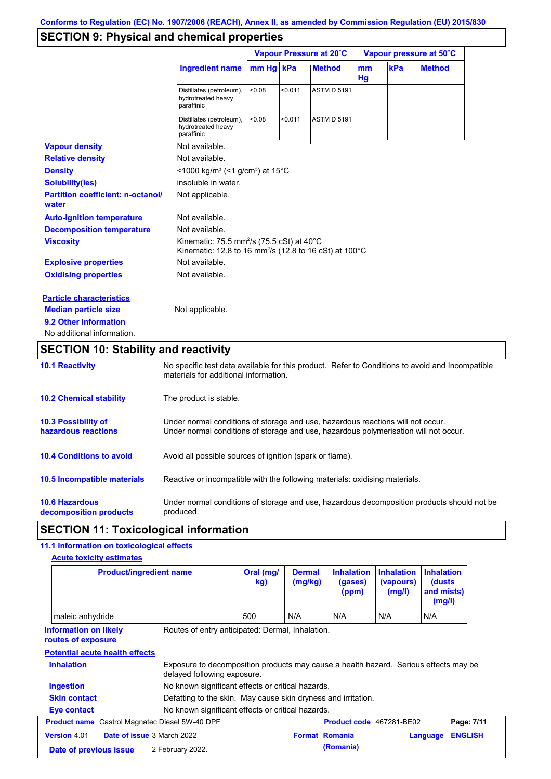# **SECTION 9: Physical and chemical properties**

|                                                   |                                                                                                                                        | Vapour Pressure at 20°C |         |                    | Vapour pressure at 50°C |     |               |
|---------------------------------------------------|----------------------------------------------------------------------------------------------------------------------------------------|-------------------------|---------|--------------------|-------------------------|-----|---------------|
|                                                   | <b>Ingredient name</b>                                                                                                                 | mm Hg kPa               |         | <b>Method</b>      | mm<br>Hg                | kPa | <b>Method</b> |
|                                                   | Distillates (petroleum),<br>hydrotreated heavy<br>paraffinic                                                                           | < 0.08                  | < 0.011 | <b>ASTM D 5191</b> |                         |     |               |
|                                                   | Distillates (petroleum),<br>hydrotreated heavy<br>paraffinic                                                                           | < 0.08                  | < 0.011 | <b>ASTM D 5191</b> |                         |     |               |
| <b>Vapour density</b>                             | Not available.                                                                                                                         |                         |         |                    |                         |     |               |
| <b>Relative density</b>                           | Not available.                                                                                                                         |                         |         |                    |                         |     |               |
| <b>Density</b>                                    | $<$ 1000 kg/m <sup>3</sup> (<1 g/cm <sup>3</sup> ) at 15 <sup>°</sup> C                                                                |                         |         |                    |                         |     |               |
| <b>Solubility(ies)</b>                            | insoluble in water.                                                                                                                    |                         |         |                    |                         |     |               |
| <b>Partition coefficient: n-octanol/</b><br>water | Not applicable.                                                                                                                        |                         |         |                    |                         |     |               |
| <b>Auto-ignition temperature</b>                  | Not available.                                                                                                                         |                         |         |                    |                         |     |               |
| <b>Decomposition temperature</b>                  | Not available.                                                                                                                         |                         |         |                    |                         |     |               |
| <b>Viscosity</b>                                  | Kinematic: 75.5 mm <sup>2</sup> /s (75.5 cSt) at $40^{\circ}$ C<br>Kinematic: 12.8 to 16 mm <sup>2</sup> /s (12.8 to 16 cSt) at 100 °C |                         |         |                    |                         |     |               |
| <b>Explosive properties</b>                       | Not available.                                                                                                                         |                         |         |                    |                         |     |               |
| <b>Oxidising properties</b>                       | Not available.                                                                                                                         |                         |         |                    |                         |     |               |
| <b>Particle characteristics</b>                   |                                                                                                                                        |                         |         |                    |                         |     |               |
| <b>Median particle size</b>                       | Not applicable.                                                                                                                        |                         |         |                    |                         |     |               |
| 9.2 Other information                             |                                                                                                                                        |                         |         |                    |                         |     |               |
| No additional information.                        |                                                                                                                                        |                         |         |                    |                         |     |               |

# **SECTION 10: Stability and reactivity**

| <b>10.1 Reactivity</b>                            | No specific test data available for this product. Refer to Conditions to avoid and Incompatible<br>materials for additional information.                                |
|---------------------------------------------------|-------------------------------------------------------------------------------------------------------------------------------------------------------------------------|
| <b>10.2 Chemical stability</b>                    | The product is stable.                                                                                                                                                  |
| <b>10.3 Possibility of</b><br>hazardous reactions | Under normal conditions of storage and use, hazardous reactions will not occur.<br>Under normal conditions of storage and use, hazardous polymerisation will not occur. |
| <b>10.4 Conditions to avoid</b>                   | Avoid all possible sources of ignition (spark or flame).                                                                                                                |
| 10.5 Incompatible materials                       | Reactive or incompatible with the following materials: oxidising materials.                                                                                             |
| <b>10.6 Hazardous</b><br>decomposition products   | Under normal conditions of storage and use, hazardous decomposition products should not be<br>produced.                                                                 |

## **SECTION 11: Toxicological information**

## **11.1 Information on toxicological effects**

|                                                                                                        | <b>Product/ingredient name</b>                                                                                      | Oral (mg/<br>kg) | <b>Dermal</b><br>(mg/kg) | <b>Inhalation</b><br>(gases)<br>(ppm) | <b>Inhalation</b><br>(vapours)<br>(mg/l) | <b>Inhalation</b><br>(dusts)<br>and mists)<br>(mg/l) |                |
|--------------------------------------------------------------------------------------------------------|---------------------------------------------------------------------------------------------------------------------|------------------|--------------------------|---------------------------------------|------------------------------------------|------------------------------------------------------|----------------|
| maleic anhydride                                                                                       |                                                                                                                     | 500              | N/A                      | N/A                                   | N/A                                      | N/A                                                  |                |
| Routes of entry anticipated: Dermal, Inhalation.<br><b>Information on likely</b><br>routes of exposure |                                                                                                                     |                  |                          |                                       |                                          |                                                      |                |
| <b>Potential acute health effects</b>                                                                  |                                                                                                                     |                  |                          |                                       |                                          |                                                      |                |
| <b>Inhalation</b>                                                                                      | Exposure to decomposition products may cause a health hazard. Serious effects may be<br>delayed following exposure. |                  |                          |                                       |                                          |                                                      |                |
| <b>Ingestion</b>                                                                                       | No known significant effects or critical hazards.                                                                   |                  |                          |                                       |                                          |                                                      |                |
| <b>Skin contact</b>                                                                                    | Defatting to the skin. May cause skin dryness and irritation.                                                       |                  |                          |                                       |                                          |                                                      |                |
| Eye contact                                                                                            | No known significant effects or critical hazards.                                                                   |                  |                          |                                       |                                          |                                                      |                |
| <b>Product name</b> Castrol Magnatec Diesel 5W-40 DPF                                                  |                                                                                                                     |                  |                          | Product code 467281-BE02              |                                          |                                                      | Page: 7/11     |
| <b>Version 4.01</b>                                                                                    | Date of issue 3 March 2022                                                                                          |                  | <b>Format Romania</b>    |                                       |                                          | Language                                             | <b>ENGLISH</b> |
| Date of previous issue                                                                                 | 2 February 2022.                                                                                                    |                  |                          | (Romania)                             |                                          |                                                      |                |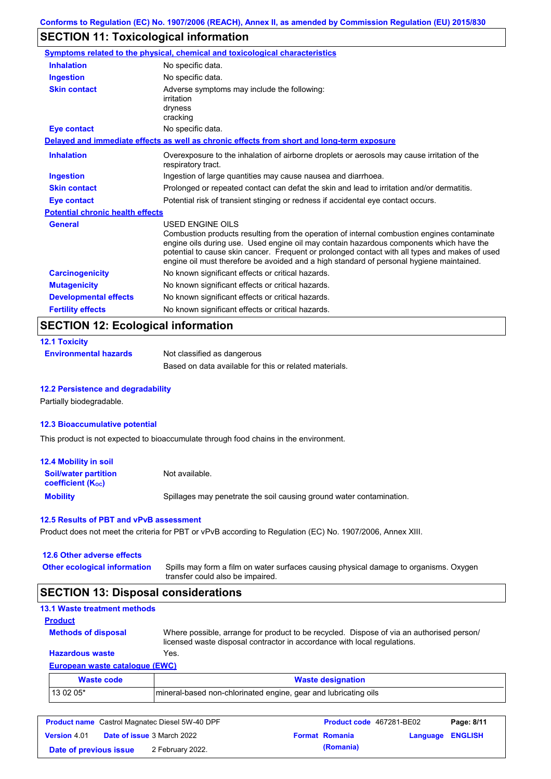# **SECTION 11: Toxicological information**

|                                         | <b>Symptoms related to the physical, chemical and toxicological characteristics</b>                                                                                                                                                                                                                                                                                                                      |  |
|-----------------------------------------|----------------------------------------------------------------------------------------------------------------------------------------------------------------------------------------------------------------------------------------------------------------------------------------------------------------------------------------------------------------------------------------------------------|--|
| <b>Inhalation</b>                       | No specific data.                                                                                                                                                                                                                                                                                                                                                                                        |  |
| <b>Ingestion</b>                        | No specific data.                                                                                                                                                                                                                                                                                                                                                                                        |  |
| <b>Skin contact</b>                     | Adverse symptoms may include the following:<br>irritation<br>dryness<br>cracking                                                                                                                                                                                                                                                                                                                         |  |
| <b>Eye contact</b>                      | No specific data.                                                                                                                                                                                                                                                                                                                                                                                        |  |
|                                         | Delayed and immediate effects as well as chronic effects from short and long-term exposure                                                                                                                                                                                                                                                                                                               |  |
| <b>Inhalation</b>                       | Overexposure to the inhalation of airborne droplets or aerosols may cause irritation of the<br>respiratory tract.                                                                                                                                                                                                                                                                                        |  |
| <b>Ingestion</b>                        | Ingestion of large quantities may cause nausea and diarrhoea.                                                                                                                                                                                                                                                                                                                                            |  |
| <b>Skin contact</b>                     | Prolonged or repeated contact can defat the skin and lead to irritation and/or dermatitis.                                                                                                                                                                                                                                                                                                               |  |
| Eye contact                             | Potential risk of transient stinging or redness if accidental eye contact occurs.                                                                                                                                                                                                                                                                                                                        |  |
| <b>Potential chronic health effects</b> |                                                                                                                                                                                                                                                                                                                                                                                                          |  |
| General                                 | USED ENGINE OILS<br>Combustion products resulting from the operation of internal combustion engines contaminate<br>engine oils during use. Used engine oil may contain hazardous components which have the<br>potential to cause skin cancer. Frequent or prolonged contact with all types and makes of used<br>engine oil must therefore be avoided and a high standard of personal hygiene maintained. |  |
| <b>Carcinogenicity</b>                  | No known significant effects or critical hazards.                                                                                                                                                                                                                                                                                                                                                        |  |
| <b>Mutagenicity</b>                     | No known significant effects or critical hazards.                                                                                                                                                                                                                                                                                                                                                        |  |
| <b>Developmental effects</b>            | No known significant effects or critical hazards.                                                                                                                                                                                                                                                                                                                                                        |  |
| <b>Fertility effects</b>                | No known significant effects or critical hazards.                                                                                                                                                                                                                                                                                                                                                        |  |
| SECTION 12: Ecological information      |                                                                                                                                                                                                                                                                                                                                                                                                          |  |

## **SECTION 12: Ecological information**

| <b>12.1 Toxicity</b>         |                                                        |
|------------------------------|--------------------------------------------------------|
| <b>Environmental hazards</b> | Not classified as dangerous                            |
|                              | Based on data available for this or related materials. |

### **12.2 Persistence and degradability**

Partially biodegradable.

### **12.3 Bioaccumulative potential**

This product is not expected to bioaccumulate through food chains in the environment.

| <b>12.4 Mobility in soil</b>                                  |                                                                      |
|---------------------------------------------------------------|----------------------------------------------------------------------|
| <b>Soil/water partition</b><br>coefficient (K <sub>oc</sub> ) | Not available.                                                       |
| <b>Mobility</b>                                               | Spillages may penetrate the soil causing ground water contamination. |

### **12.5 Results of PBT and vPvB assessment**

Product does not meet the criteria for PBT or vPvB according to Regulation (EC) No. 1907/2006, Annex XIII.

| 12.6 Other adverse effects          |                                                                                                                           |
|-------------------------------------|---------------------------------------------------------------------------------------------------------------------------|
| <b>Other ecological information</b> | Spills may form a film on water surfaces causing physical damage to organisms. Oxygen<br>transfer could also be impaired. |

# **SECTION 13: Disposal considerations**

| <b>13.1 Waste treatment methods</b> |                                                                                                                                                                      |
|-------------------------------------|----------------------------------------------------------------------------------------------------------------------------------------------------------------------|
| <b>Product</b>                      |                                                                                                                                                                      |
| <b>Methods of disposal</b>          | Where possible, arrange for product to be recycled. Dispose of via an authorised person/<br>licensed waste disposal contractor in accordance with local regulations. |
| <b>Hazardous waste</b>              | Yes.                                                                                                                                                                 |
| European waste catalogue (EWC)      |                                                                                                                                                                      |
| <b>Waste code</b>                   | <b>Waste designation</b>                                                                                                                                             |
| 13 02 05*                           | mineral-based non-chlorinated engine, gear and lubricating oils                                                                                                      |

| <b>Product name</b> Castrol Magnatec Diesel 5W-40 DPF |  | Product code 467281-BE02          |  | Page: 8/11            |                         |  |
|-------------------------------------------------------|--|-----------------------------------|--|-----------------------|-------------------------|--|
| <b>Version 4.01</b>                                   |  | <b>Date of issue 3 March 2022</b> |  | <b>Format Romania</b> | <b>Language ENGLISH</b> |  |
| Date of previous issue                                |  | 2 February 2022.                  |  | (Romania)             |                         |  |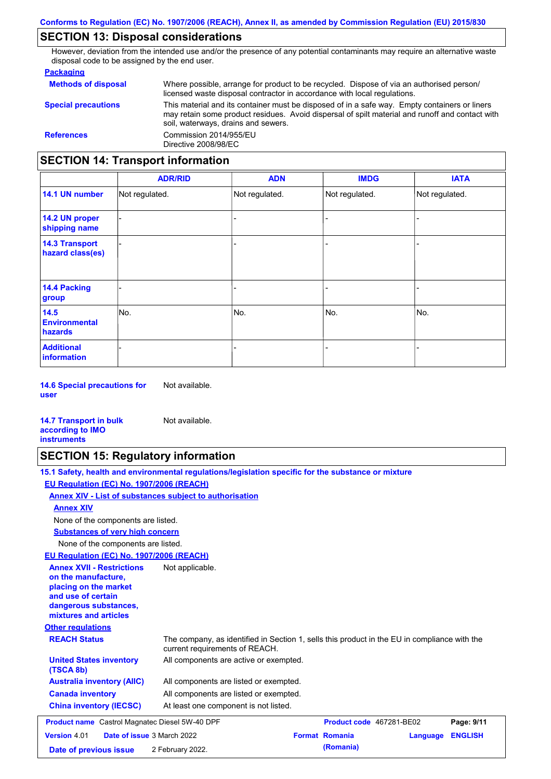## **SECTION 13: Disposal considerations**

However, deviation from the intended use and/or the presence of any potential contaminants may require an alternative waste disposal code to be assigned by the end user.

### **Packaging**

| <b>Methods of disposal</b>               | Where possible, arrange for product to be recycled. Dispose of via an authorised person/<br>licensed waste disposal contractor in accordance with local regulations.                                                                    |  |
|------------------------------------------|-----------------------------------------------------------------------------------------------------------------------------------------------------------------------------------------------------------------------------------------|--|
| <b>Special precautions</b>               | This material and its container must be disposed of in a safe way. Empty containers or liners<br>may retain some product residues. Avoid dispersal of spilt material and runoff and contact with<br>soil, waterways, drains and sewers. |  |
| <b>References</b>                        | Commission 2014/955/EU<br>Directive 2008/98/EC                                                                                                                                                                                          |  |
| <b>SECTION 14: Transport information</b> |                                                                                                                                                                                                                                         |  |

#### - - - - - - - - - Not regulated. Not regulated. Not regulated. - - - **ADR/RID IMDG IATA 14.1 UN number 14.2 UN proper shipping name 14.3 Transport hazard class(es) 14.4 Packing group ADN Additional information 14.5 Environmental hazards** No. 1980 | No. 1980 | No. 1980 | No. 1980 | No. 1980 | No. 1980 | No. 1980 | No. 1980 | No. 1980 | No. 1980 | Not regulated. - No. - -

**14.6 Special precautions for user** Not available.

#### **14.7 Transport in bulk according to IMO instruments**

## **SECTION 15: Regulatory information**

Not available.

|                                                                                                                                                          | 15.1 Safety, health and environmental regulations/legislation specific for the substance or mixture                            |                          |          |                |  |
|----------------------------------------------------------------------------------------------------------------------------------------------------------|--------------------------------------------------------------------------------------------------------------------------------|--------------------------|----------|----------------|--|
| EU Regulation (EC) No. 1907/2006 (REACH)                                                                                                                 |                                                                                                                                |                          |          |                |  |
|                                                                                                                                                          | Annex XIV - List of substances subject to authorisation                                                                        |                          |          |                |  |
| <b>Annex XIV</b>                                                                                                                                         |                                                                                                                                |                          |          |                |  |
| None of the components are listed.                                                                                                                       |                                                                                                                                |                          |          |                |  |
| <b>Substances of very high concern</b>                                                                                                                   |                                                                                                                                |                          |          |                |  |
| None of the components are listed.                                                                                                                       |                                                                                                                                |                          |          |                |  |
| EU Regulation (EC) No. 1907/2006 (REACH)                                                                                                                 |                                                                                                                                |                          |          |                |  |
| <b>Annex XVII - Restrictions</b><br>on the manufacture,<br>placing on the market<br>and use of certain<br>dangerous substances,<br>mixtures and articles | Not applicable.                                                                                                                |                          |          |                |  |
| <b>Other regulations</b>                                                                                                                                 |                                                                                                                                |                          |          |                |  |
| <b>REACH Status</b>                                                                                                                                      | The company, as identified in Section 1, sells this product in the EU in compliance with the<br>current requirements of REACH. |                          |          |                |  |
| <b>United States inventory</b><br>(TSCA 8b)                                                                                                              | All components are active or exempted.                                                                                         |                          |          |                |  |
| <b>Australia inventory (AIIC)</b>                                                                                                                        | All components are listed or exempted.                                                                                         |                          |          |                |  |
| <b>Canada inventory</b>                                                                                                                                  | All components are listed or exempted.                                                                                         |                          |          |                |  |
| <b>China inventory (IECSC)</b>                                                                                                                           | At least one component is not listed.                                                                                          |                          |          |                |  |
| <b>Product name</b> Castrol Magnatec Diesel 5W-40 DPF                                                                                                    |                                                                                                                                | Product code 467281-BE02 |          | Page: 9/11     |  |
| <b>Version 4.01</b><br>Date of issue 3 March 2022                                                                                                        |                                                                                                                                | <b>Format Romania</b>    | Language | <b>ENGLISH</b> |  |
| Date of previous issue                                                                                                                                   | 2 February 2022.                                                                                                               | (Romania)                |          |                |  |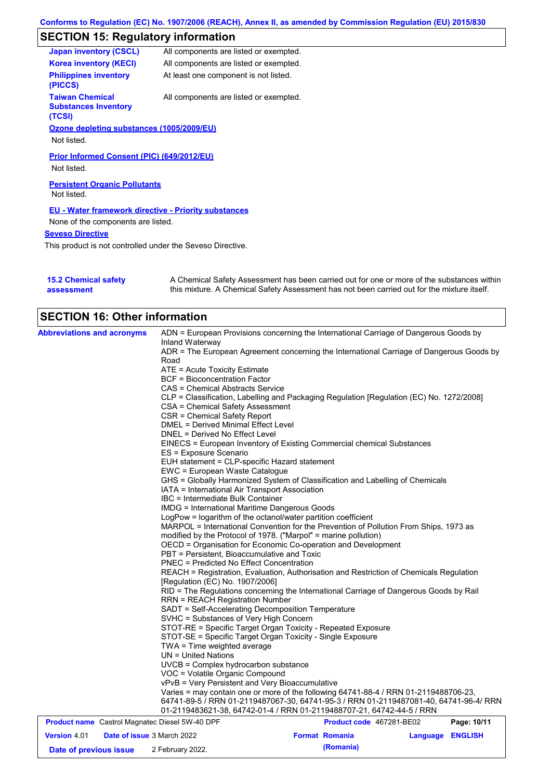# **SECTION 15: Regulatory information**

| <b>Japan inventory (CSCL)</b>                                   | All components are listed or exempted. |  |  |  |
|-----------------------------------------------------------------|----------------------------------------|--|--|--|
| <b>Korea inventory (KECI)</b>                                   | All components are listed or exempted. |  |  |  |
| <b>Philippines inventory</b><br>(PICCS)                         | At least one component is not listed.  |  |  |  |
| <b>Taiwan Chemical</b><br><b>Substances Inventory</b><br>(TCSI) | All components are listed or exempted. |  |  |  |
| Ozone depleting substances (1005/2009/EU)                       |                                        |  |  |  |
| Not listed.                                                     |                                        |  |  |  |
| Prior Informed Consent (PIC) (649/2012/EU)<br>Not listed.       |                                        |  |  |  |
| <b>Persistent Organic Pollutants</b>                            |                                        |  |  |  |
| Not listed.                                                     |                                        |  |  |  |
| <b>EU - Water framework directive - Priority substances</b>     |                                        |  |  |  |
| None of the components are listed.                              |                                        |  |  |  |
| <b>Seveso Directive</b>                                         |                                        |  |  |  |
| This product is not controlled under the Seveso Directive.      |                                        |  |  |  |

| <b>15.2 Chemical safety</b> | A Chemical Safety Assessment has been carried out for one or more of the substances within  |
|-----------------------------|---------------------------------------------------------------------------------------------|
| assessment                  | this mixture. A Chemical Safety Assessment has not been carried out for the mixture itself. |

| <b>SECTION 16: Other information</b>                  |                                                                                                                                                                                                                                                                                                                                                                                                                                                                                                                                                                                                                                                                                                                                                                                                                                                                                                                                                                                                                                                                                                                                                                                                                                                                                                                                                                                                                                                                                                                                                                                                                                                                                                                                                                                                                                                                                                                                                                                                                                                                                                                                                                  |                          |          |                |
|-------------------------------------------------------|------------------------------------------------------------------------------------------------------------------------------------------------------------------------------------------------------------------------------------------------------------------------------------------------------------------------------------------------------------------------------------------------------------------------------------------------------------------------------------------------------------------------------------------------------------------------------------------------------------------------------------------------------------------------------------------------------------------------------------------------------------------------------------------------------------------------------------------------------------------------------------------------------------------------------------------------------------------------------------------------------------------------------------------------------------------------------------------------------------------------------------------------------------------------------------------------------------------------------------------------------------------------------------------------------------------------------------------------------------------------------------------------------------------------------------------------------------------------------------------------------------------------------------------------------------------------------------------------------------------------------------------------------------------------------------------------------------------------------------------------------------------------------------------------------------------------------------------------------------------------------------------------------------------------------------------------------------------------------------------------------------------------------------------------------------------------------------------------------------------------------------------------------------------|--------------------------|----------|----------------|
| <b>Abbreviations and acronyms</b>                     | ADN = European Provisions concerning the International Carriage of Dangerous Goods by<br>Inland Waterway<br>ADR = The European Agreement concerning the International Carriage of Dangerous Goods by<br>Road<br>ATE = Acute Toxicity Estimate<br>BCF = Bioconcentration Factor<br>CAS = Chemical Abstracts Service<br>CLP = Classification, Labelling and Packaging Regulation [Regulation (EC) No. 1272/2008]<br>CSA = Chemical Safety Assessment<br>CSR = Chemical Safety Report<br>DMEL = Derived Minimal Effect Level<br>DNEL = Derived No Effect Level<br>EINECS = European Inventory of Existing Commercial chemical Substances<br>ES = Exposure Scenario<br>EUH statement = CLP-specific Hazard statement<br>EWC = European Waste Catalogue<br>GHS = Globally Harmonized System of Classification and Labelling of Chemicals<br>IATA = International Air Transport Association<br>IBC = Intermediate Bulk Container<br><b>IMDG = International Maritime Dangerous Goods</b><br>LogPow = logarithm of the octanol/water partition coefficient<br>MARPOL = International Convention for the Prevention of Pollution From Ships, 1973 as<br>modified by the Protocol of 1978. ("Marpol" = marine pollution)<br>OECD = Organisation for Economic Co-operation and Development<br>PBT = Persistent, Bioaccumulative and Toxic<br><b>PNEC = Predicted No Effect Concentration</b><br>REACH = Registration, Evaluation, Authorisation and Restriction of Chemicals Regulation<br>[Regulation (EC) No. 1907/2006]<br>RID = The Regulations concerning the International Carriage of Dangerous Goods by Rail<br><b>RRN = REACH Registration Number</b><br>SADT = Self-Accelerating Decomposition Temperature<br>SVHC = Substances of Very High Concern<br>STOT-RE = Specific Target Organ Toxicity - Repeated Exposure<br>STOT-SE = Specific Target Organ Toxicity - Single Exposure<br>TWA = Time weighted average<br>$UN = United Nations$<br>UVCB = Complex hydrocarbon substance<br>VOC = Volatile Organic Compound<br>vPvB = Very Persistent and Very Bioaccumulative<br>Varies = may contain one or more of the following 64741-88-4 / RRN 01-2119488706-23, |                          |          |                |
|                                                       | 64741-89-5 / RRN 01-2119487067-30, 64741-95-3 / RRN 01-2119487081-40, 64741-96-4/ RRN<br>01-2119483621-38, 64742-01-4 / RRN 01-2119488707-21, 64742-44-5 / RRN                                                                                                                                                                                                                                                                                                                                                                                                                                                                                                                                                                                                                                                                                                                                                                                                                                                                                                                                                                                                                                                                                                                                                                                                                                                                                                                                                                                                                                                                                                                                                                                                                                                                                                                                                                                                                                                                                                                                                                                                   |                          |          |                |
| <b>Product name</b> Castrol Magnatec Diesel 5W-40 DPF |                                                                                                                                                                                                                                                                                                                                                                                                                                                                                                                                                                                                                                                                                                                                                                                                                                                                                                                                                                                                                                                                                                                                                                                                                                                                                                                                                                                                                                                                                                                                                                                                                                                                                                                                                                                                                                                                                                                                                                                                                                                                                                                                                                  | Product code 467281-BE02 |          | Page: 10/11    |
| <b>Version 4.01</b><br>Date of issue 3 March 2022     |                                                                                                                                                                                                                                                                                                                                                                                                                                                                                                                                                                                                                                                                                                                                                                                                                                                                                                                                                                                                                                                                                                                                                                                                                                                                                                                                                                                                                                                                                                                                                                                                                                                                                                                                                                                                                                                                                                                                                                                                                                                                                                                                                                  | <b>Format Romania</b>    | Language | <b>ENGLISH</b> |
| Date of previous issue                                | 2 February 2022.                                                                                                                                                                                                                                                                                                                                                                                                                                                                                                                                                                                                                                                                                                                                                                                                                                                                                                                                                                                                                                                                                                                                                                                                                                                                                                                                                                                                                                                                                                                                                                                                                                                                                                                                                                                                                                                                                                                                                                                                                                                                                                                                                 | (Romania)                |          |                |